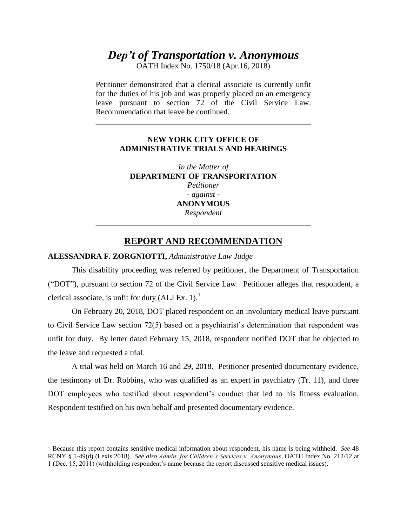# *Dep't of Transportation v. Anonymous*

OATH Index No. 1750/18 (Apr.16, 2018)

Petitioner demonstrated that a clerical associate is currently unfit for the duties of his job and was properly placed on an emergency leave pursuant to section 72 of the Civil Service Law. Recommendation that leave be continued.

\_\_\_\_\_\_\_\_\_\_\_\_\_\_\_\_\_\_\_\_\_\_\_\_\_\_\_\_\_\_\_\_\_\_\_\_\_\_\_\_\_\_\_\_\_\_\_\_\_\_\_\_\_\_

## **NEW YORK CITY OFFICE OF ADMINISTRATIVE TRIALS AND HEARINGS**

*In the Matter of*  **DEPARTMENT OF TRANSPORTATION** *Petitioner - against -* **ANONYMOUS** *Respondent* \_\_\_\_\_\_\_\_\_\_\_\_\_\_\_\_\_\_\_\_\_\_\_\_\_\_\_\_\_\_\_\_\_\_\_\_\_\_\_\_\_\_\_\_\_\_\_\_\_\_\_\_\_\_

# **REPORT AND RECOMMENDATION**

#### **ALESSANDRA F. ZORGNIOTTI,** *Administrative Law Judge*

 $\overline{a}$ 

This disability proceeding was referred by petitioner, the Department of Transportation ("DOT"), pursuant to section 72 of the Civil Service Law. Petitioner alleges that respondent, a clerical associate, is unfit for duty  $(ALI Ex. 1)<sup>1</sup>$ 

On February 20, 2018, DOT placed respondent on an involuntary medical leave pursuant to Civil Service Law section 72(5) based on a psychiatrist's determination that respondent was unfit for duty. By letter dated February 15, 2018, respondent notified DOT that he objected to the leave and requested a trial.

A trial was held on March 16 and 29, 2018. Petitioner presented documentary evidence, the testimony of Dr. Robbins, who was qualified as an expert in psychiatry (Tr. 11), and three DOT employees who testified about respondent's conduct that led to his fitness evaluation. Respondent testified on his own behalf and presented documentary evidence.

<sup>1</sup> Because this report contains sensitive medical information about respondent, his name is being withheld. *See* 48 RCNY § 1-49(d) (Lexis 2018). *See also Admin. for Children's Services v. Anonymous*, OATH Index No. 212/12 at 1 (Dec. 15, 2011) (withholding respondent's name because the report discussed sensitive medical issues).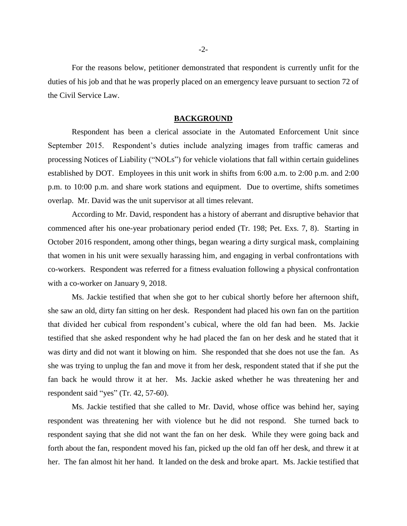For the reasons below, petitioner demonstrated that respondent is currently unfit for the duties of his job and that he was properly placed on an emergency leave pursuant to section 72 of the Civil Service Law.

#### **BACKGROUND**

Respondent has been a clerical associate in the Automated Enforcement Unit since September 2015. Respondent's duties include analyzing images from traffic cameras and processing Notices of Liability ("NOLs") for vehicle violations that fall within certain guidelines established by DOT. Employees in this unit work in shifts from 6:00 a.m. to 2:00 p.m. and 2:00 p.m. to 10:00 p.m. and share work stations and equipment. Due to overtime, shifts sometimes overlap. Mr. David was the unit supervisor at all times relevant.

According to Mr. David, respondent has a history of aberrant and disruptive behavior that commenced after his one-year probationary period ended (Tr. 198; Pet. Exs. 7, 8). Starting in October 2016 respondent, among other things, began wearing a dirty surgical mask, complaining that women in his unit were sexually harassing him, and engaging in verbal confrontations with co-workers. Respondent was referred for a fitness evaluation following a physical confrontation with a co-worker on January 9, 2018.

Ms. Jackie testified that when she got to her cubical shortly before her afternoon shift, she saw an old, dirty fan sitting on her desk. Respondent had placed his own fan on the partition that divided her cubical from respondent's cubical, where the old fan had been. Ms. Jackie testified that she asked respondent why he had placed the fan on her desk and he stated that it was dirty and did not want it blowing on him. She responded that she does not use the fan. As she was trying to unplug the fan and move it from her desk, respondent stated that if she put the fan back he would throw it at her. Ms. Jackie asked whether he was threatening her and respondent said "yes" (Tr. 42, 57-60).

Ms. Jackie testified that she called to Mr. David, whose office was behind her, saying respondent was threatening her with violence but he did not respond. She turned back to respondent saying that she did not want the fan on her desk. While they were going back and forth about the fan, respondent moved his fan, picked up the old fan off her desk, and threw it at her. The fan almost hit her hand. It landed on the desk and broke apart. Ms. Jackie testified that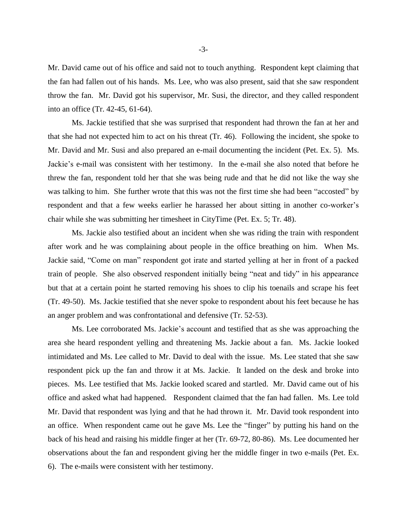Mr. David came out of his office and said not to touch anything. Respondent kept claiming that the fan had fallen out of his hands. Ms. Lee, who was also present, said that she saw respondent throw the fan. Mr. David got his supervisor, Mr. Susi, the director, and they called respondent into an office (Tr. 42-45, 61-64).

Ms. Jackie testified that she was surprised that respondent had thrown the fan at her and that she had not expected him to act on his threat (Tr. 46). Following the incident, she spoke to Mr. David and Mr. Susi and also prepared an e-mail documenting the incident (Pet. Ex. 5). Ms. Jackie's e-mail was consistent with her testimony. In the e-mail she also noted that before he threw the fan, respondent told her that she was being rude and that he did not like the way she was talking to him. She further wrote that this was not the first time she had been "accosted" by respondent and that a few weeks earlier he harassed her about sitting in another co-worker's chair while she was submitting her timesheet in CityTime (Pet. Ex. 5; Tr. 48).

Ms. Jackie also testified about an incident when she was riding the train with respondent after work and he was complaining about people in the office breathing on him. When Ms. Jackie said, "Come on man" respondent got irate and started yelling at her in front of a packed train of people. She also observed respondent initially being "neat and tidy" in his appearance but that at a certain point he started removing his shoes to clip his toenails and scrape his feet (Tr. 49-50). Ms. Jackie testified that she never spoke to respondent about his feet because he has an anger problem and was confrontational and defensive (Tr. 52-53).

Ms. Lee corroborated Ms. Jackie's account and testified that as she was approaching the area she heard respondent yelling and threatening Ms. Jackie about a fan. Ms. Jackie looked intimidated and Ms. Lee called to Mr. David to deal with the issue. Ms. Lee stated that she saw respondent pick up the fan and throw it at Ms. Jackie. It landed on the desk and broke into pieces. Ms. Lee testified that Ms. Jackie looked scared and startled. Mr. David came out of his office and asked what had happened. Respondent claimed that the fan had fallen. Ms. Lee told Mr. David that respondent was lying and that he had thrown it. Mr. David took respondent into an office. When respondent came out he gave Ms. Lee the "finger" by putting his hand on the back of his head and raising his middle finger at her (Tr. 69-72, 80-86). Ms. Lee documented her observations about the fan and respondent giving her the middle finger in two e-mails (Pet. Ex. 6). The e-mails were consistent with her testimony.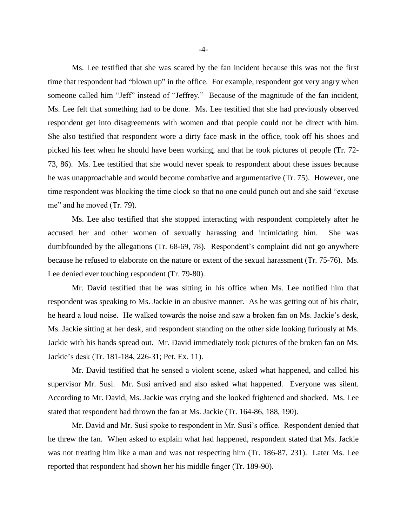Ms. Lee testified that she was scared by the fan incident because this was not the first time that respondent had "blown up" in the office. For example, respondent got very angry when someone called him "Jeff" instead of "Jeffrey." Because of the magnitude of the fan incident, Ms. Lee felt that something had to be done. Ms. Lee testified that she had previously observed respondent get into disagreements with women and that people could not be direct with him. She also testified that respondent wore a dirty face mask in the office, took off his shoes and picked his feet when he should have been working, and that he took pictures of people (Tr. 72- 73, 86). Ms. Lee testified that she would never speak to respondent about these issues because he was unapproachable and would become combative and argumentative (Tr. 75). However, one time respondent was blocking the time clock so that no one could punch out and she said "excuse me" and he moved (Tr. 79).

Ms. Lee also testified that she stopped interacting with respondent completely after he accused her and other women of sexually harassing and intimidating him. She was dumbfounded by the allegations (Tr. 68-69, 78). Respondent's complaint did not go anywhere because he refused to elaborate on the nature or extent of the sexual harassment (Tr. 75-76). Ms. Lee denied ever touching respondent (Tr. 79-80).

Mr. David testified that he was sitting in his office when Ms. Lee notified him that respondent was speaking to Ms. Jackie in an abusive manner. As he was getting out of his chair, he heard a loud noise. He walked towards the noise and saw a broken fan on Ms. Jackie's desk, Ms. Jackie sitting at her desk, and respondent standing on the other side looking furiously at Ms. Jackie with his hands spread out. Mr. David immediately took pictures of the broken fan on Ms. Jackie's desk (Tr. 181-184, 226-31; Pet. Ex. 11).

Mr. David testified that he sensed a violent scene, asked what happened, and called his supervisor Mr. Susi. Mr. Susi arrived and also asked what happened. Everyone was silent. According to Mr. David, Ms. Jackie was crying and she looked frightened and shocked. Ms. Lee stated that respondent had thrown the fan at Ms. Jackie (Tr. 164-86, 188, 190).

Mr. David and Mr. Susi spoke to respondent in Mr. Susi's office. Respondent denied that he threw the fan. When asked to explain what had happened, respondent stated that Ms. Jackie was not treating him like a man and was not respecting him (Tr. 186-87, 231). Later Ms. Lee reported that respondent had shown her his middle finger (Tr. 189-90).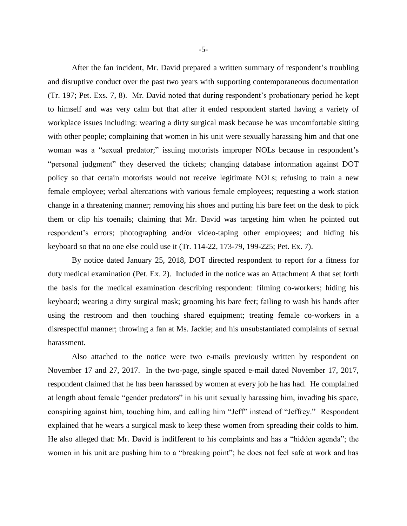After the fan incident, Mr. David prepared a written summary of respondent's troubling and disruptive conduct over the past two years with supporting contemporaneous documentation (Tr. 197; Pet. Exs. 7, 8). Mr. David noted that during respondent's probationary period he kept to himself and was very calm but that after it ended respondent started having a variety of workplace issues including: wearing a dirty surgical mask because he was uncomfortable sitting with other people; complaining that women in his unit were sexually harassing him and that one woman was a "sexual predator;" issuing motorists improper NOLs because in respondent's "personal judgment" they deserved the tickets; changing database information against DOT policy so that certain motorists would not receive legitimate NOLs; refusing to train a new female employee; verbal altercations with various female employees; requesting a work station change in a threatening manner; removing his shoes and putting his bare feet on the desk to pick them or clip his toenails; claiming that Mr. David was targeting him when he pointed out respondent's errors; photographing and/or video-taping other employees; and hiding his keyboard so that no one else could use it (Tr. 114-22, 173-79, 199-225; Pet. Ex. 7).

By notice dated January 25, 2018, DOT directed respondent to report for a fitness for duty medical examination (Pet. Ex. 2). Included in the notice was an Attachment A that set forth the basis for the medical examination describing respondent: filming co-workers; hiding his keyboard; wearing a dirty surgical mask; grooming his bare feet; failing to wash his hands after using the restroom and then touching shared equipment; treating female co-workers in a disrespectful manner; throwing a fan at Ms. Jackie; and his unsubstantiated complaints of sexual harassment.

Also attached to the notice were two e-mails previously written by respondent on November 17 and 27, 2017. In the two-page, single spaced e-mail dated November 17, 2017, respondent claimed that he has been harassed by women at every job he has had. He complained at length about female "gender predators" in his unit sexually harassing him, invading his space, conspiring against him, touching him, and calling him "Jeff" instead of "Jeffrey." Respondent explained that he wears a surgical mask to keep these women from spreading their colds to him. He also alleged that: Mr. David is indifferent to his complaints and has a "hidden agenda"; the women in his unit are pushing him to a "breaking point"; he does not feel safe at work and has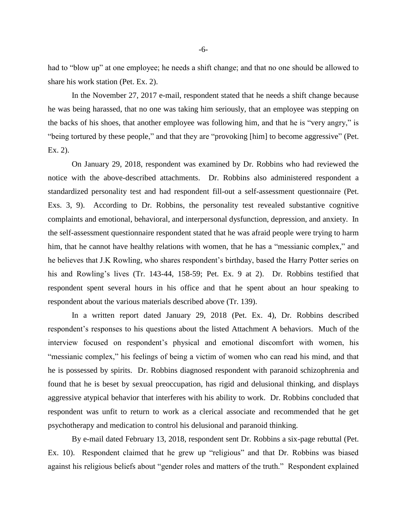had to "blow up" at one employee; he needs a shift change; and that no one should be allowed to share his work station (Pet. Ex. 2).

In the November 27, 2017 e-mail, respondent stated that he needs a shift change because he was being harassed, that no one was taking him seriously, that an employee was stepping on the backs of his shoes, that another employee was following him, and that he is "very angry," is "being tortured by these people," and that they are "provoking [him] to become aggressive" (Pet. Ex. 2).

On January 29, 2018, respondent was examined by Dr. Robbins who had reviewed the notice with the above-described attachments. Dr. Robbins also administered respondent a standardized personality test and had respondent fill-out a self-assessment questionnaire (Pet. Exs. 3, 9). According to Dr. Robbins, the personality test revealed substantive cognitive complaints and emotional, behavioral, and interpersonal dysfunction, depression, and anxiety. In the self-assessment questionnaire respondent stated that he was afraid people were trying to harm him, that he cannot have healthy relations with women, that he has a "messianic complex," and he believes that J.K Rowling, who shares respondent's birthday, based the Harry Potter series on his and Rowling's lives (Tr. 143-44, 158-59; Pet. Ex. 9 at 2). Dr. Robbins testified that respondent spent several hours in his office and that he spent about an hour speaking to respondent about the various materials described above (Tr. 139).

In a written report dated January 29, 2018 (Pet. Ex. 4), Dr. Robbins described respondent's responses to his questions about the listed Attachment A behaviors. Much of the interview focused on respondent's physical and emotional discomfort with women, his "messianic complex," his feelings of being a victim of women who can read his mind, and that he is possessed by spirits. Dr. Robbins diagnosed respondent with paranoid schizophrenia and found that he is beset by sexual preoccupation, has rigid and delusional thinking, and displays aggressive atypical behavior that interferes with his ability to work. Dr. Robbins concluded that respondent was unfit to return to work as a clerical associate and recommended that he get psychotherapy and medication to control his delusional and paranoid thinking.

By e-mail dated February 13, 2018, respondent sent Dr. Robbins a six-page rebuttal (Pet. Ex. 10). Respondent claimed that he grew up "religious" and that Dr. Robbins was biased against his religious beliefs about "gender roles and matters of the truth." Respondent explained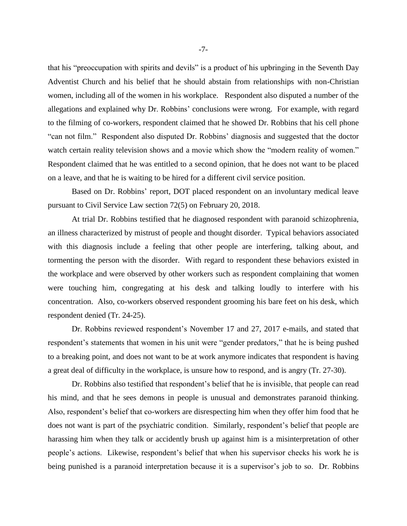that his "preoccupation with spirits and devils" is a product of his upbringing in the Seventh Day Adventist Church and his belief that he should abstain from relationships with non-Christian women, including all of the women in his workplace. Respondent also disputed a number of the allegations and explained why Dr. Robbins' conclusions were wrong. For example, with regard to the filming of co-workers, respondent claimed that he showed Dr. Robbins that his cell phone "can not film." Respondent also disputed Dr. Robbins' diagnosis and suggested that the doctor watch certain reality television shows and a movie which show the "modern reality of women." Respondent claimed that he was entitled to a second opinion, that he does not want to be placed on a leave, and that he is waiting to be hired for a different civil service position.

Based on Dr. Robbins' report, DOT placed respondent on an involuntary medical leave pursuant to Civil Service Law section 72(5) on February 20, 2018.

At trial Dr. Robbins testified that he diagnosed respondent with paranoid schizophrenia, an illness characterized by mistrust of people and thought disorder. Typical behaviors associated with this diagnosis include a feeling that other people are interfering, talking about, and tormenting the person with the disorder. With regard to respondent these behaviors existed in the workplace and were observed by other workers such as respondent complaining that women were touching him, congregating at his desk and talking loudly to interfere with his concentration. Also, co-workers observed respondent grooming his bare feet on his desk, which respondent denied (Tr. 24-25).

Dr. Robbins reviewed respondent's November 17 and 27, 2017 e-mails, and stated that respondent's statements that women in his unit were "gender predators," that he is being pushed to a breaking point, and does not want to be at work anymore indicates that respondent is having a great deal of difficulty in the workplace, is unsure how to respond, and is angry (Tr. 27-30).

Dr. Robbins also testified that respondent's belief that he is invisible, that people can read his mind, and that he sees demons in people is unusual and demonstrates paranoid thinking. Also, respondent's belief that co-workers are disrespecting him when they offer him food that he does not want is part of the psychiatric condition. Similarly, respondent's belief that people are harassing him when they talk or accidently brush up against him is a misinterpretation of other people's actions. Likewise, respondent's belief that when his supervisor checks his work he is being punished is a paranoid interpretation because it is a supervisor's job to so. Dr. Robbins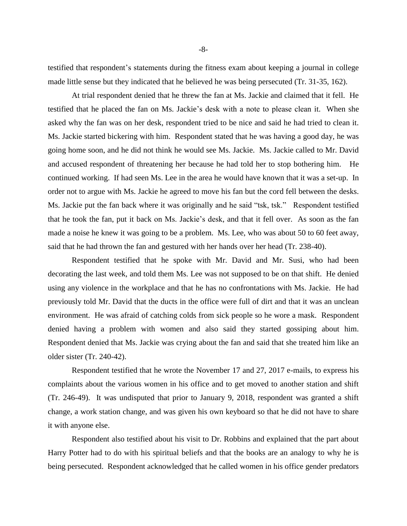testified that respondent's statements during the fitness exam about keeping a journal in college made little sense but they indicated that he believed he was being persecuted (Tr. 31-35, 162).

At trial respondent denied that he threw the fan at Ms. Jackie and claimed that it fell. He testified that he placed the fan on Ms. Jackie's desk with a note to please clean it. When she asked why the fan was on her desk, respondent tried to be nice and said he had tried to clean it. Ms. Jackie started bickering with him. Respondent stated that he was having a good day, he was going home soon, and he did not think he would see Ms. Jackie. Ms. Jackie called to Mr. David and accused respondent of threatening her because he had told her to stop bothering him. He continued working. If had seen Ms. Lee in the area he would have known that it was a set-up. In order not to argue with Ms. Jackie he agreed to move his fan but the cord fell between the desks. Ms. Jackie put the fan back where it was originally and he said "tsk, tsk." Respondent testified that he took the fan, put it back on Ms. Jackie's desk, and that it fell over. As soon as the fan made a noise he knew it was going to be a problem. Ms. Lee, who was about 50 to 60 feet away, said that he had thrown the fan and gestured with her hands over her head (Tr. 238-40).

Respondent testified that he spoke with Mr. David and Mr. Susi, who had been decorating the last week, and told them Ms. Lee was not supposed to be on that shift. He denied using any violence in the workplace and that he has no confrontations with Ms. Jackie. He had previously told Mr. David that the ducts in the office were full of dirt and that it was an unclean environment. He was afraid of catching colds from sick people so he wore a mask. Respondent denied having a problem with women and also said they started gossiping about him. Respondent denied that Ms. Jackie was crying about the fan and said that she treated him like an older sister (Tr. 240-42).

Respondent testified that he wrote the November 17 and 27, 2017 e-mails, to express his complaints about the various women in his office and to get moved to another station and shift (Tr. 246-49). It was undisputed that prior to January 9, 2018, respondent was granted a shift change, a work station change, and was given his own keyboard so that he did not have to share it with anyone else.

Respondent also testified about his visit to Dr. Robbins and explained that the part about Harry Potter had to do with his spiritual beliefs and that the books are an analogy to why he is being persecuted. Respondent acknowledged that he called women in his office gender predators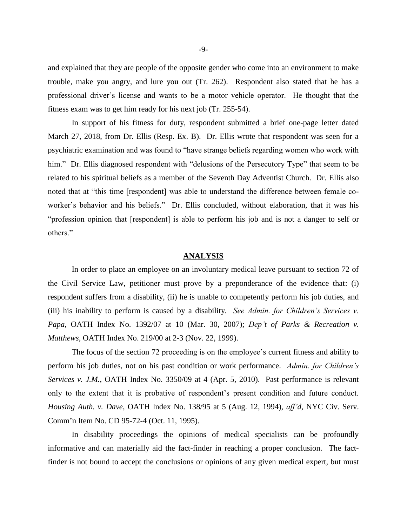and explained that they are people of the opposite gender who come into an environment to make trouble, make you angry, and lure you out (Tr. 262). Respondent also stated that he has a professional driver's license and wants to be a motor vehicle operator. He thought that the fitness exam was to get him ready for his next job (Tr. 255-54).

In support of his fitness for duty, respondent submitted a brief one-page letter dated March 27, 2018, from Dr. Ellis (Resp. Ex. B). Dr. Ellis wrote that respondent was seen for a psychiatric examination and was found to "have strange beliefs regarding women who work with him." Dr. Ellis diagnosed respondent with "delusions of the Persecutory Type" that seem to be related to his spiritual beliefs as a member of the Seventh Day Adventist Church. Dr. Ellis also noted that at "this time [respondent] was able to understand the difference between female coworker's behavior and his beliefs." Dr. Ellis concluded, without elaboration, that it was his "profession opinion that [respondent] is able to perform his job and is not a danger to self or others."

#### **ANALYSIS**

In order to place an employee on an involuntary medical leave pursuant to section 72 of the Civil Service Law, petitioner must prove by a preponderance of the evidence that: (i) respondent suffers from a disability, (ii) he is unable to competently perform his job duties, and (iii) his inability to perform is caused by a disability. *See Admin. for Children's Services v. Papa*, OATH Index No. 1392/07 at 10 (Mar. 30, 2007); *Dep't of Parks & Recreation v. Matthews*, OATH Index No. 219/00 at 2-3 (Nov. 22, 1999).

The focus of the section 72 proceeding is on the employee's current fitness and ability to perform his job duties, not on his past condition or work performance. *Admin. for Children's Services v. J.M.*, OATH Index No. 3350/09 at 4 (Apr. 5, 2010). Past performance is relevant only to the extent that it is probative of respondent's present condition and future conduct. *Housing Auth. v. Dave*, OATH Index No. 138/95 at 5 (Aug. 12, 1994), *aff'd*, NYC Civ. Serv. Comm'n Item No. CD 95-72-4 (Oct. 11, 1995).

In disability proceedings the opinions of medical specialists can be profoundly informative and can materially aid the fact-finder in reaching a proper conclusion. The factfinder is not bound to accept the conclusions or opinions of any given medical expert, but must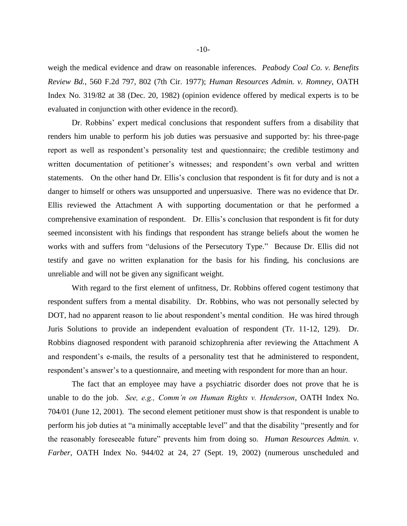weigh the medical evidence and draw on reasonable inferences. *Peabody Coal Co. v. Benefits Review Bd.*, 560 F.2d 797, 802 (7th Cir. 1977); *Human Resources Admin. v. Romney*, OATH Index No. 319/82 at 38 (Dec. 20, 1982) (opinion evidence offered by medical experts is to be evaluated in conjunction with other evidence in the record).

Dr. Robbins' expert medical conclusions that respondent suffers from a disability that renders him unable to perform his job duties was persuasive and supported by: his three-page report as well as respondent's personality test and questionnaire; the credible testimony and written documentation of petitioner's witnesses; and respondent's own verbal and written statements. On the other hand Dr. Ellis's conclusion that respondent is fit for duty and is not a danger to himself or others was unsupported and unpersuasive. There was no evidence that Dr. Ellis reviewed the Attachment A with supporting documentation or that he performed a comprehensive examination of respondent. Dr. Ellis's conclusion that respondent is fit for duty seemed inconsistent with his findings that respondent has strange beliefs about the women he works with and suffers from "delusions of the Persecutory Type." Because Dr. Ellis did not testify and gave no written explanation for the basis for his finding, his conclusions are unreliable and will not be given any significant weight.

With regard to the first element of unfitness, Dr. Robbins offered cogent testimony that respondent suffers from a mental disability. Dr. Robbins, who was not personally selected by DOT, had no apparent reason to lie about respondent's mental condition. He was hired through Juris Solutions to provide an independent evaluation of respondent (Tr. 11-12, 129). Dr. Robbins diagnosed respondent with paranoid schizophrenia after reviewing the Attachment A and respondent's e-mails, the results of a personality test that he administered to respondent, respondent's answer's to a questionnaire, and meeting with respondent for more than an hour.

The fact that an employee may have a psychiatric disorder does not prove that he is unable to do the job. *See, e.g., Comm'n on Human Rights v. Henderson*, OATH Index No. 704/01 (June 12, 2001). The second element petitioner must show is that respondent is unable to perform his job duties at "a minimally acceptable level" and that the disability "presently and for the reasonably foreseeable future" prevents him from doing so. *Human Resources Admin. v. Farber*, OATH Index No. 944/02 at 24, 27 (Sept. 19, 2002) (numerous unscheduled and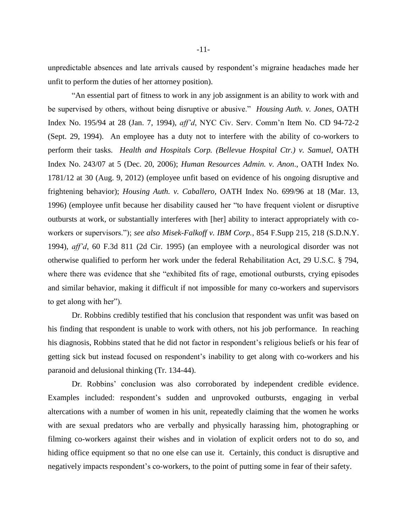unpredictable absences and late arrivals caused by respondent's migraine headaches made her unfit to perform the duties of her attorney position).

"An essential part of fitness to work in any job assignment is an ability to work with and be supervised by others, without being disruptive or abusive." *Housing Auth. v. Jones*, OATH Index No. 195/94 at 28 (Jan. 7, 1994), *aff'd*, NYC Civ. Serv. Comm'n Item No. CD 94-72-2 (Sept. 29, 1994). An employee has a duty not to interfere with the ability of co-workers to perform their tasks. *Health and Hospitals Corp. (Bellevue Hospital Ctr.) v. Samuel,* OATH Index No. 243/07 at 5 (Dec. 20, 2006); *Human Resources Admin. v. Anon*., OATH Index No. 1781/12 at 30 (Aug. 9, 2012) (employee unfit based on evidence of his ongoing disruptive and frightening behavior); *Housing Auth. v. Caballero,* OATH Index No. 699/96 at 18 (Mar. 13, 1996) (employee unfit because her disability caused her "to have frequent violent or disruptive outbursts at work, or substantially interferes with [her] ability to interact appropriately with coworkers or supervisors."); *see also Misek-Falkoff v. IBM Corp.*, 854 F.Supp 215, 218 (S.D.N.Y. 1994), *aff'd*, 60 F.3d 811 (2d Cir. 1995) (an employee with a neurological disorder was not otherwise qualified to perform her work under the federal Rehabilitation Act, 29 U.S.C. § 794, where there was evidence that she "exhibited fits of rage, emotional outbursts, crying episodes and similar behavior, making it difficult if not impossible for many co-workers and supervisors to get along with her").

Dr. Robbins credibly testified that his conclusion that respondent was unfit was based on his finding that respondent is unable to work with others, not his job performance. In reaching his diagnosis, Robbins stated that he did not factor in respondent's religious beliefs or his fear of getting sick but instead focused on respondent's inability to get along with co-workers and his paranoid and delusional thinking (Tr. 134-44).

Dr. Robbins' conclusion was also corroborated by independent credible evidence. Examples included: respondent's sudden and unprovoked outbursts, engaging in verbal altercations with a number of women in his unit, repeatedly claiming that the women he works with are sexual predators who are verbally and physically harassing him, photographing or filming co-workers against their wishes and in violation of explicit orders not to do so, and hiding office equipment so that no one else can use it. Certainly, this conduct is disruptive and negatively impacts respondent's co-workers, to the point of putting some in fear of their safety.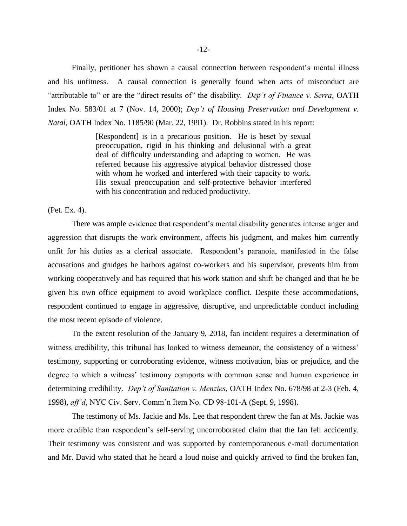Finally, petitioner has shown a causal connection between respondent's mental illness and his unfitness. A causal connection is generally found when acts of misconduct are "attributable to" or are the "direct results of" the disability. *Dep't of Finance v. Serra*, OATH Index No. 583/01 at 7 (Nov. 14, 2000); *Dep't of Housing Preservation and Development v. Natal*, OATH Index No. 1185/90 (Mar. 22, 1991). Dr. Robbins stated in his report:

> [Respondent] is in a precarious position. He is beset by sexual preoccupation, rigid in his thinking and delusional with a great deal of difficulty understanding and adapting to women. He was referred because his aggressive atypical behavior distressed those with whom he worked and interfered with their capacity to work. His sexual preoccupation and self-protective behavior interfered with his concentration and reduced productivity.

(Pet. Ex. 4).

There was ample evidence that respondent's mental disability generates intense anger and aggression that disrupts the work environment, affects his judgment, and makes him currently unfit for his duties as a clerical associate. Respondent's paranoia, manifested in the false accusations and grudges he harbors against co-workers and his supervisor, prevents him from working cooperatively and has required that his work station and shift be changed and that he be given his own office equipment to avoid workplace conflict. Despite these accommodations, respondent continued to engage in aggressive, disruptive, and unpredictable conduct including the most recent episode of violence.

To the extent resolution of the January 9, 2018, fan incident requires a determination of witness credibility, this tribunal has looked to witness demeanor, the consistency of a witness' testimony, supporting or corroborating evidence, witness motivation, bias or prejudice, and the degree to which a witness' testimony comports with common sense and human experience in determining credibility. *Dep't of Sanitation v. Menzies*, OATH Index No. 678/98 at 2-3 (Feb. 4, 1998), *aff'd*, NYC Civ. Serv. Comm'n Item No. CD 98-101-A (Sept. 9, 1998).

The testimony of Ms. Jackie and Ms. Lee that respondent threw the fan at Ms. Jackie was more credible than respondent's self-serving uncorroborated claim that the fan fell accidently. Their testimony was consistent and was supported by contemporaneous e-mail documentation and Mr. David who stated that he heard a loud noise and quickly arrived to find the broken fan,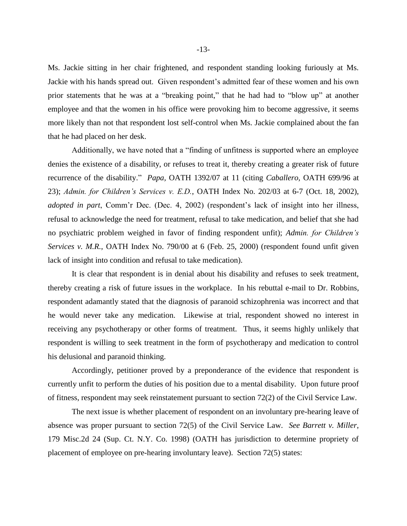Ms. Jackie sitting in her chair frightened, and respondent standing looking furiously at Ms. Jackie with his hands spread out. Given respondent's admitted fear of these women and his own prior statements that he was at a "breaking point," that he had had to "blow up" at another employee and that the women in his office were provoking him to become aggressive, it seems more likely than not that respondent lost self-control when Ms. Jackie complained about the fan that he had placed on her desk.

Additionally, we have noted that a "finding of unfitness is supported where an employee denies the existence of a disability, or refuses to treat it, thereby creating a greater risk of future recurrence of the disability." *Papa,* OATH 1392/07 at 11 (citing *Caballero,* OATH 699/96 at 23); *Admin. for Children's Services v. E.D.*, OATH Index No. 202/03 at 6-7 (Oct. 18, 2002), *adopted in part*, Comm'r Dec. (Dec. 4, 2002) (respondent's lack of insight into her illness, refusal to acknowledge the need for treatment, refusal to take medication, and belief that she had no psychiatric problem weighed in favor of finding respondent unfit); *Admin. for Children's Services v. M.R.*, OATH Index No. 790/00 at 6 (Feb. 25, 2000) (respondent found unfit given lack of insight into condition and refusal to take medication).

It is clear that respondent is in denial about his disability and refuses to seek treatment, thereby creating a risk of future issues in the workplace. In his rebuttal e-mail to Dr. Robbins, respondent adamantly stated that the diagnosis of paranoid schizophrenia was incorrect and that he would never take any medication. Likewise at trial, respondent showed no interest in receiving any psychotherapy or other forms of treatment. Thus, it seems highly unlikely that respondent is willing to seek treatment in the form of psychotherapy and medication to control his delusional and paranoid thinking.

Accordingly, petitioner proved by a preponderance of the evidence that respondent is currently unfit to perform the duties of his position due to a mental disability. Upon future proof of fitness, respondent may seek reinstatement pursuant to section 72(2) of the Civil Service Law.

The next issue is whether placement of respondent on an involuntary pre-hearing leave of absence was proper pursuant to section 72(5) of the Civil Service Law. *See Barrett v. Miller*, 179 Misc.2d 24 (Sup. Ct. N.Y. Co. 1998) (OATH has jurisdiction to determine propriety of placement of employee on pre-hearing involuntary leave). Section 72(5) states: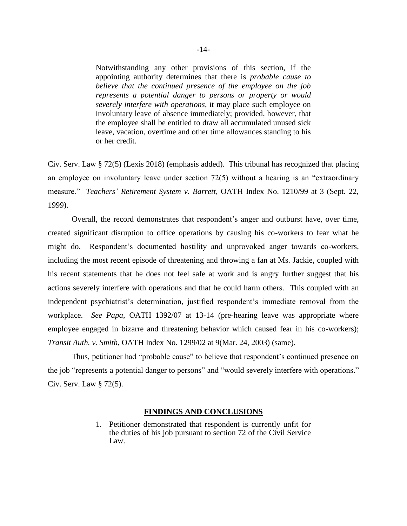Notwithstanding any other provisions of this section, if the appointing authority determines that there is *probable cause to believe that the continued presence of the employee on the job represents a potential danger to persons or property or would severely interfere with operations*, it may place such employee on involuntary leave of absence immediately; provided, however, that the employee shall be entitled to draw all accumulated unused sick leave, vacation, overtime and other time allowances standing to his or her credit.

Civ. Serv. Law § 72(5) (Lexis 2018) (emphasis added). This tribunal has recognized that placing an employee on involuntary leave under section 72(5) without a hearing is an "extraordinary measure." *Teachers' Retirement System v. Barrett*, OATH Index No. 1210/99 at 3 (Sept. 22, 1999).

Overall, the record demonstrates that respondent's anger and outburst have, over time, created significant disruption to office operations by causing his co-workers to fear what he might do. Respondent's documented hostility and unprovoked anger towards co-workers, including the most recent episode of threatening and throwing a fan at Ms. Jackie, coupled with his recent statements that he does not feel safe at work and is angry further suggest that his actions severely interfere with operations and that he could harm others. This coupled with an independent psychiatrist's determination, justified respondent's immediate removal from the workplace. *See Papa*, OATH 1392/07 at 13-14 (pre-hearing leave was appropriate where employee engaged in bizarre and threatening behavior which caused fear in his co-workers); *Transit Auth. v. Smith*, OATH Index No. 1299/02 at 9(Mar. 24, 2003) (same).

Thus, petitioner had "probable cause" to believe that respondent's continued presence on the job "represents a potential danger to persons" and "would severely interfere with operations." Civ. Serv. Law § 72(5).

#### **FINDINGS AND CONCLUSIONS**

1. Petitioner demonstrated that respondent is currently unfit for the duties of his job pursuant to section 72 of the Civil Service Law.